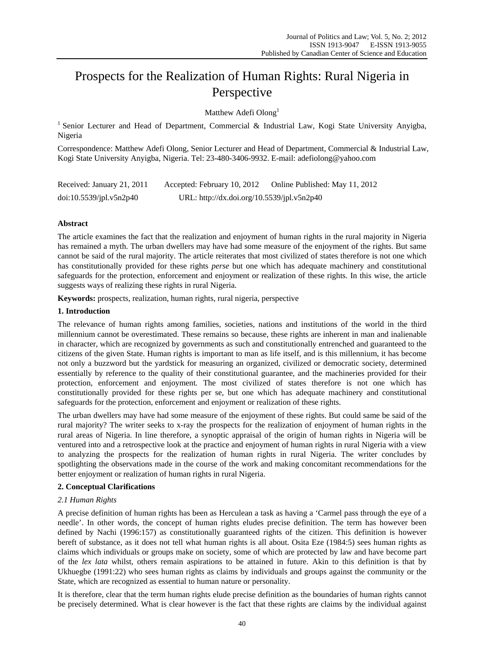# Prospects for the Realization of Human Rights: Rural Nigeria in Perspective

Matthew Adefi Olong<sup>1</sup>

<sup>1</sup> Senior Lecturer and Head of Department, Commercial & Industrial Law, Kogi State University Anyigba, Nigeria

Correspondence: Matthew Adefi Olong, Senior Lecturer and Head of Department, Commercial & Industrial Law, Kogi State University Anyigba, Nigeria. Tel: 23-480-3406-9932. E-mail: adefiolong@yahoo.com

| Received: January 21, 2011 | Accepted: February 10, 2012                | Online Published: May 11, 2012 |
|----------------------------|--------------------------------------------|--------------------------------|
| doi:10.5539/jpl.v5n2p40    | URL: http://dx.doi.org/10.5539/jpl.v5n2p40 |                                |

# **Abstract**

The article examines the fact that the realization and enjoyment of human rights in the rural majority in Nigeria has remained a myth. The urban dwellers may have had some measure of the enjoyment of the rights. But same cannot be said of the rural majority. The article reiterates that most civilized of states therefore is not one which has constitutionally provided for these rights *perse* but one which has adequate machinery and constitutional safeguards for the protection, enforcement and enjoyment or realization of these rights. In this wise, the article suggests ways of realizing these rights in rural Nigeria.

**Keywords:** prospects, realization, human rights, rural nigeria, perspective

# **1. Introduction**

The relevance of human rights among families, societies, nations and institutions of the world in the third millennium cannot be overestimated. These remains so because, these rights are inherent in man and inalienable in character, which are recognized by governments as such and constitutionally entrenched and guaranteed to the citizens of the given State. Human rights is important to man as life itself, and is this millennium, it has become not only a buzzword but the yardstick for measuring an organized, civilized or democratic society, determined essentially by reference to the quality of their constitutional guarantee, and the machineries provided for their protection, enforcement and enjoyment*.* The most civilized of states therefore is not one which has constitutionally provided for these rights per se, but one which has adequate machinery and constitutional safeguards for the protection, enforcement and enjoyment or realization of these rights.

The urban dwellers may have had some measure of the enjoyment of these rights. But could same be said of the rural majority? The writer seeks to x-ray the prospects for the realization of enjoyment of human rights in the rural areas of Nigeria. In line therefore, a synoptic appraisal of the origin of human rights in Nigeria will be ventured into and a retrospective look at the practice and enjoyment of human rights in rural Nigeria with a view to analyzing the prospects for the realization of human rights in rural Nigeria. The writer concludes by spotlighting the observations made in the course of the work and making concomitant recommendations for the better enjoyment or realization of human rights in rural Nigeria.

## **2. Conceptual Clarifications**

## *2.1 Human Rights*

A precise definition of human rights has been as Herculean a task as having a 'Carmel pass through the eye of a needle'. In other words, the concept of human rights eludes precise definition. The term has however been defined by Nachi (1996:157) as constitutionally guaranteed rights of the citizen. This definition is however bereft of substance, as it does not tell what human rights is all about. Osita Eze (1984:5) sees human rights as claims which individuals or groups make on society, some of which are protected by law and have become part of the *lex lata* whilst, others remain aspirations to be attained in future. Akin to this definition is that by Ukhuegbe (1991:22) who sees human rights as claims by individuals and groups against the community or the State, which are recognized as essential to human nature or personality.

It is therefore, clear that the term human rights elude precise definition as the boundaries of human rights cannot be precisely determined. What is clear however is the fact that these rights are claims by the individual against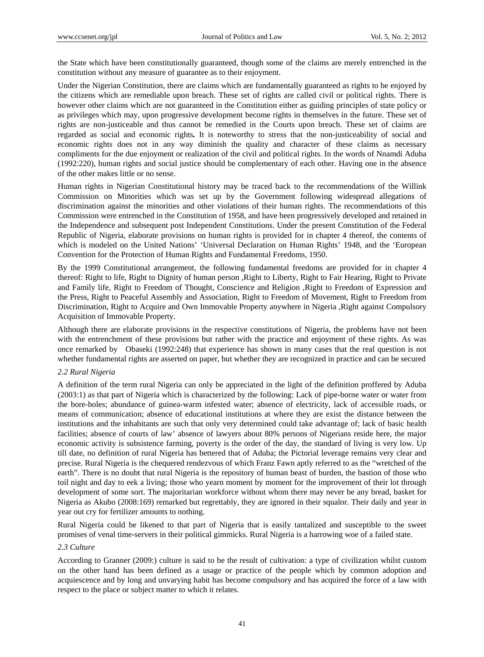the State which have been constitutionally guaranteed, though some of the claims are merely entrenched in the constitution without any measure of guarantee as to their enjoyment.

Under the Nigerian Constitution, there are claims which are fundamentally guaranteed as rights to be enjoyed by the citizens which are remediable upon breach. These set of rights are called civil or political rights. There is however other claims which are not guaranteed in the Constitution either as guiding principles of state policy or as privileges which may, upon progressive development become rights in themselves in the future. These set of rights are non-justiceable and thus cannot be remedied in the Courts upon breach. These set of claims are regarded as social and economic rights*.* It is noteworthy to stress that the non-justiceability of social and economic rights does not in any way diminish the quality and character of these claims as necessary compliments for the due enjoyment or realization of the civil and political rights. In the words of Nnamdi Aduba (1992:220), human rights and social justice should be complementary of each other. Having one in the absence of the other makes little or no sense.

Human rights in Nigerian Constitutional history may be traced back to the recommendations of the Willink Commission on Minorities which was set up by the Government following widespread allegations of discrimination against the minorities and other violations of their human rights. The recommendations of this Commission were entrenched in the Constitution of 1958, and have been progressively developed and retained in the Independence and subsequent post Independent Constitutions. Under the present Constitution of the Federal Republic of Nigeria, elaborate provisions on human rights is provided for in chapter 4 thereof, the contents of which is modeled on the United Nations' 'Universal Declaration on Human Rights' 1948*,* and the 'European Convention for the Protection of Human Rights and Fundamental Freedoms, 1950.

By the 1999 Constitutional arrangement, the following fundamental freedoms are provided for in chapter 4 thereof: Right to life, Right to Dignity of human person ,Right to Liberty, Right to Fair Hearing, Right to Private and Family life, Right to Freedom of Thought, Conscience and Religion ,Right to Freedom of Expression and the Press, Right to Peaceful Assembly and Association, Right to Freedom of Movement, Right to Freedom from Discrimination, Right to Acquire and Own Immovable Property anywhere in Nigeria ,Right against Compulsory Acquisition of Immovable Property.

Although there are elaborate provisions in the respective constitutions of Nigeria, the problems have not been with the entrenchment of these provisions but rather with the practice and enjoyment of these rights. As was once remarked by Obaseki (1992:248) that experience has shown in many cases that the real question is not whether fundamental rights are asserted on paper, but whether they are recognized in practice and can be secured

#### *2.2 Rural Nigeria*

A definition of the term rural Nigeria can only be appreciated in the light of the definition proffered by Aduba (2003:1) as that part of Nigeria which is characterized by the following: Lack of pipe-borne water or water from the bore-holes; abundance of guinea-warm infested water; absence of electricity, lack of accessible roads, or means of communication; absence of educational institutions at where they are exist the distance between the institutions and the inhabitants are such that only very determined could take advantage of; lack of basic health facilities; absence of courts of law' absence of lawyers about 80% persons of Nigerians reside here, the major economic activity is subsistence farming, poverty is the order of the day, the standard of living is very low. Up till date, no definition of rural Nigeria has bettered that of Aduba; the Pictorial leverage remains very clear and precise. Rural Nigeria is the chequered rendezvous of which Franz Fawn aptly referred to as the "wretched of the earth". There is no doubt that rural Nigeria is the repository of human beast of burden, the bastion of those who toil night and day to eek a living; those who yearn moment by moment for the improvement of their lot through development of some sort. The majoritarian workforce without whom there may never be any bread, basket for Nigeria as Akubo (2008:169) remarked but regrettably, they are ignored in their squalor. Their daily and year in year out cry for fertilizer amounts to nothing.

Rural Nigeria could be likened to that part of Nigeria that is easily tantalized and susceptible to the sweet promises of venal time-servers in their political gimmicks. Rural Nigeria is a harrowing woe of a failed state.

# *2.3 Culture*

According to Granner (2009:) culture is said to be the result of cultivation: a type of civilization whilst custom on the other hand has been defined as a usage or practice of the people which by common adoption and acquiescence and by long and unvarying habit has become compulsory and has acquired the force of a law with respect to the place or subject matter to which it relates.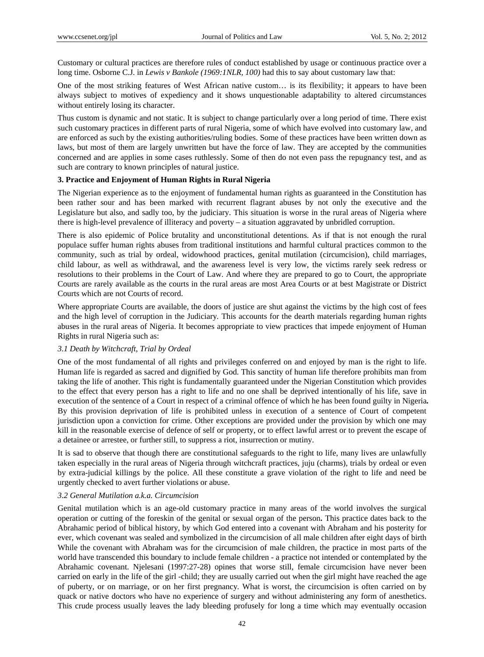Customary or cultural practices are therefore rules of conduct established by usage or continuous practice over a long time. Osborne C.J. in *Lewis v Bankole (1969:1NLR, 100)* had this to say about customary law that:

One of the most striking features of West African native custom… is its flexibility; it appears to have been always subject to motives of expediency and it shows unquestionable adaptability to altered circumstances without entirely losing its character.

Thus custom is dynamic and not static. It is subject to change particularly over a long period of time. There exist such customary practices in different parts of rural Nigeria, some of which have evolved into customary law, and are enforced as such by the existing authorities/ruling bodies. Some of these practices have been written down as laws, but most of them are largely unwritten but have the force of law. They are accepted by the communities concerned and are applies in some cases ruthlessly. Some of then do not even pass the repugnancy test, and as such are contrary to known principles of natural justice.

# **3. Practice and Enjoyment of Human Rights in Rural Nigeria**

The Nigerian experience as to the enjoyment of fundamental human rights as guaranteed in the Constitution has been rather sour and has been marked with recurrent flagrant abuses by not only the executive and the Legislature but also, and sadly too, by the judiciary. This situation is worse in the rural areas of Nigeria where there is high-level prevalence of illiteracy and poverty – a situation aggravated by unbridled corruption.

There is also epidemic of Police brutality and unconstitutional detentions. As if that is not enough the rural populace suffer human rights abuses from traditional institutions and harmful cultural practices common to the community, such as trial by ordeal, widowhood practices, genital mutilation (circumcision), child marriages, child labour, as well as withdrawal, and the awareness level is very low, the victims rarely seek redress or resolutions to their problems in the Court of Law. And where they are prepared to go to Court, the appropriate Courts are rarely available as the courts in the rural areas are most Area Courts or at best Magistrate or District Courts which are not Courts of record.

Where appropriate Courts are available, the doors of justice are shut against the victims by the high cost of fees and the high level of corruption in the Judiciary*.* This accounts for the dearth materials regarding human rights abuses in the rural areas of Nigeria. It becomes appropriate to view practices that impede enjoyment of Human Rights in rural Nigeria such as:

## *3.1 Death by Witchcraft, Trial by Ordeal*

One of the most fundamental of all rights and privileges conferred on and enjoyed by man is the right to life. Human life is regarded as sacred and dignified by God. This sanctity of human life therefore prohibits man from taking the life of another. This right is fundamentally guaranteed under the Nigerian Constitution which provides to the effect that every person has a right to life and no one shall be deprived intentionally of his life, save in execution of the sentence of a Court in respect of a criminal offence of which he has been found guilty in Nigeria**.** By this provision deprivation of life is prohibited unless in execution of a sentence of Court of competent jurisdiction upon a conviction for crime. Other exceptions are provided under the provision by which one may kill in the reasonable exercise of defence of self or property, or to effect lawful arrest or to prevent the escape of a detainee or arrestee, or further still, to suppress a riot, insurrection or mutiny.

It is sad to observe that though there are constitutional safeguards to the right to life, many lives are unlawfully taken especially in the rural areas of Nigeria through witchcraft practices, juju (charms), trials by ordeal or even by extra-judicial killings by the police. All these constitute a grave violation of the right to life and need be urgently checked to avert further violations or abuse.

# *3.2 General Mutilation a.k.a. Circumcision*

Genital mutilation which is an age-old customary practice in many areas of the world involves the surgical operation or cutting of the foreskin of the genital or sexual organ of the person**.** This practice dates back to the Abrahamic period of biblical history, by which God entered into a covenant with Abraham and his posterity for ever, which covenant was sealed and symbolized in the circumcision of all male children after eight days of birth While the covenant with Abraham was for the circumcision of male children, the practice in most parts of the world have transcended this boundary to include female children - a practice not intended or contemplated by the Abrahamic covenant. Njelesani (1997:27-28) opines that worse still, female circumcision have never been carried on early in the life of the girl -child; they are usually carried out when the girl might have reached the age of puberty, or on marriage, or on her first pregnancy*.* What is worst, the circumcision is often carried on by quack or native doctors who have no experience of surgery and without administering any form of anesthetics. This crude process usually leaves the lady bleeding profusely for long a time which may eventually occasion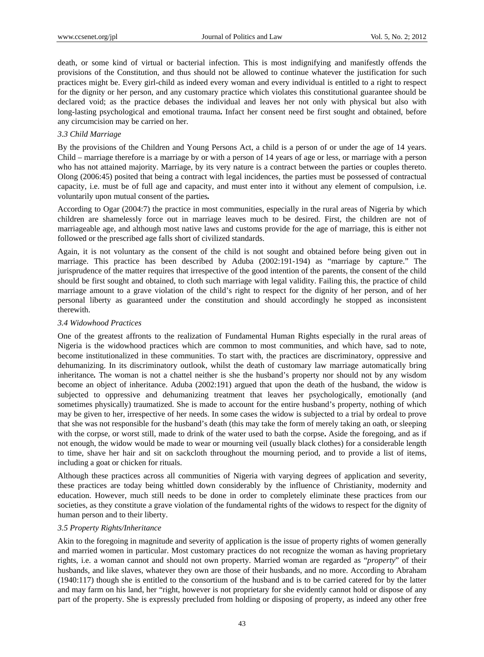death, or some kind of virtual or bacterial infection. This is most indignifying and manifestly offends the provisions of the Constitution, and thus should not be allowed to continue whatever the justification for such practices might be. Every girl-child as indeed every woman and every individual is entitled to a right to respect for the dignity or her person, and any customary practice which violates this constitutional guarantee should be declared void; as the practice debases the individual and leaves her not only with physical but also with long-lasting psychological and emotional trauma**.** Infact her consent need be first sought and obtained, before any circumcision may be carried on her.

## *3.3 Child Marriage*

By the provisions of the Children and Young Persons Act, a child is a person of or under the age of 14 years. Child – marriage therefore is a marriage by or with a person of 14 years of age or less, or marriage with a person who has not attained majority. Marriage, by its very nature is a contract between the parties or couples thereto. Olong (2006:45) posited that being a contract with legal incidences, the parties must be possessed of contractual capacity, i.e. must be of full age and capacity, and must enter into it without any element of compulsion, i.e. voluntarily upon mutual consent of the parties*.*

According to Ogar (2004:7) the practice in most communities, especially in the rural areas of Nigeria by which children are shamelessly force out in marriage leaves much to be desired. First, the children are not of marriageable age, and although most native laws and customs provide for the age of marriage, this is either not followed or the prescribed age falls short of civilized standards.

Again, it is not voluntary as the consent of the child is not sought and obtained before being given out in marriage. This practice has been described by Aduba (2002:191-194) as "marriage by capture." The jurisprudence of the matter requires that irrespective of the good intention of the parents, the consent of the child should be first sought and obtained, to cloth such marriage with legal validity. Failing this, the practice of child marriage amount to a grave violation of the child's right to respect for the dignity of her person, and of her personal liberty as guaranteed under the constitution and should accordingly he stopped as inconsistent therewith.

## *3.4 Widowhood Practices*

One of the greatest affronts to the realization of Fundamental Human Rights especially in the rural areas of Nigeria is the widowhood practices which are common to most communities, and which have, sad to note, become institutionalized in these communities. To start with, the practices are discriminatory, oppressive and dehumanizing. In its discriminatory outlook, whilst the death of customary law marriage automatically bring inheritance*.* The woman is not a chattel neither is she the husband's property nor should not by any wisdom become an object of inheritance. Aduba (2002:191) argued that upon the death of the husband, the widow is subjected to oppressive and dehumanizing treatment that leaves her psychologically, emotionally (and sometimes physically) traumatized. She is made to account for the entire husband's property, nothing of which may be given to her, irrespective of her needs. In some cases the widow is subjected to a trial by ordeal to prove that she was not responsible for the husband's death (this may take the form of merely taking an oath, or sleeping with the corpse, or worst still, made to drink of the water used to bath the corpse**.** Aside the foregoing, and as if not enough, the widow would be made to wear or mourning veil (usually black clothes) for a considerable length to time, shave her hair and sit on sackcloth throughout the mourning period, and to provide a list of items, including a goat or chicken for rituals.

Although these practices across all communities of Nigeria with varying degrees of application and severity, these practices are today being whittled down considerably by the influence of Christianity, modernity and education. However, much still needs to be done in order to completely eliminate these practices from our societies, as they constitute a grave violation of the fundamental rights of the widows to respect for the dignity of human person and to their liberty.

## *3.5 Property Rights/Inheritance*

Akin to the foregoing in magnitude and severity of application is the issue of property rights of women generally and married women in particular. Most customary practices do not recognize the woman as having proprietary rights, i.e. a woman cannot and should not own property. Married woman are regarded as "*property*" of their husbands, and like slaves, whatever they own are those of their husbands, and no more. According to Abraham (1940:117) though she is entitled to the consortium of the husband and is to be carried catered for by the latter and may farm on his land, her "right, however is not proprietary for she evidently cannot hold or dispose of any part of the property. She is expressly precluded from holding or disposing of property, as indeed any other free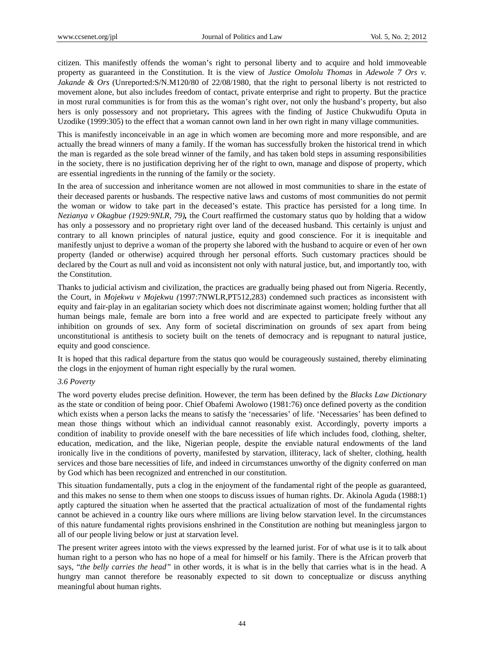citizen. This manifestly offends the woman's right to personal liberty and to acquire and hold immoveable property as guaranteed in the Constitution. It is the view of *Justice Omololu Thomas* in *Adewole 7 Ors v. Jakande & Ors* (Unreported:S/N.M120/80 of 22/08/1980, that the right to personal liberty is not restricted to movement alone, but also includes freedom of contact, private enterprise and right to property. But the practice in most rural communities is for from this as the woman's right over, not only the husband's property, but also hers is only possessory and not proprietary*.* This agrees with the finding of Justice Chukwudifu Oputa in Uzodike (1999:305) to the effect that a woman cannot own land in her own right in many village communities.

This is manifestly inconceivable in an age in which women are becoming more and more responsible, and are actually the bread winners of many a family. If the woman has successfully broken the historical trend in which the man is regarded as the sole bread winner of the family, and has taken bold steps in assuming responsibilities in the society, there is no justification depriving her of the right to own, manage and dispose of property, which are essential ingredients in the running of the family or the society.

In the area of succession and inheritance women are not allowed in most communities to share in the estate of their deceased parents or husbands. The respective native laws and customs of most communities do not permit the woman or widow to take part in the deceased's estate. This practice has persisted for a long time. In *Nezianya v Okagbue (1929:9NLR, 79),* the Court reaffirmed the customary status quo by holding that a widow has only a possessory and no proprietary right over land of the deceased husband. This certainly is unjust and contrary to all known principles of natural justice, equity and good conscience. For it is inequitable and manifestly unjust to deprive a woman of the property she labored with the husband to acquire or even of her own property (landed or otherwise) acquired through her personal efforts. Such customary practices should be declared by the Court as null and void as inconsistent not only with natural justice, but, and importantly too, with the Constitution.

Thanks to judicial activism and civilization, the practices are gradually being phased out from Nigeria. Recently, the Court, in *Mojekwu v Mojekwu (*1997:7NWLR,PT512,283) condemned such practices as inconsistent with equity and fair-play in an egalitarian society which does not discriminate against women; holding further that all human beings male, female are born into a free world and are expected to participate freely without any inhibition on grounds of sex. Any form of societal discrimination on grounds of sex apart from being unconstitutional is antithesis to society built on the tenets of democracy and is repugnant to natural justice, equity and good conscience.

It is hoped that this radical departure from the status quo would be courageously sustained, thereby eliminating the clogs in the enjoyment of human right especially by the rural women.

#### *3.6 Poverty*

The word poverty eludes precise definition. However, the term has been defined by the *Blacks Law Dictionary* as the state or condition of being poor. Chief Obafemi Awolowo (1981:76) once defined poverty as the condition which exists when a person lacks the means to satisfy the 'necessaries' of life. 'Necessaries' has been defined to mean those things without which an individual cannot reasonably exist. Accordingly, poverty imports a condition of inability to provide oneself with the bare necessities of life which includes food, clothing, shelter, education, medication, and the like, Nigerian people, despite the enviable natural endowments of the land ironically live in the conditions of poverty, manifested by starvation, illiteracy, lack of shelter, clothing, health services and those bare necessities of life, and indeed in circumstances unworthy of the dignity conferred on man by God which has been recognized and entrenched in our constitution.

This situation fundamentally, puts a clog in the enjoyment of the fundamental right of the people as guaranteed, and this makes no sense to them when one stoops to discuss issues of human rights. Dr. Akinola Aguda (1988:1) aptly captured the situation when he asserted that the practical actualization of most of the fundamental rights cannot be achieved in a country like ours where millions are living below starvation level. In the circumstances of this nature fundamental rights provisions enshrined in the Constitution are nothing but meaningless jargon to all of our people living below or just at starvation level.

The present writer agrees intoto with the views expressed by the learned jurist. For of what use is it to talk about human right to a person who has no hope of a meal for himself or his family. There is the African proverb that says, "*the belly carries the head"* in other words, it is what is in the belly that carries what is in the head. A hungry man cannot therefore be reasonably expected to sit down to conceptualize or discuss anything meaningful about human rights.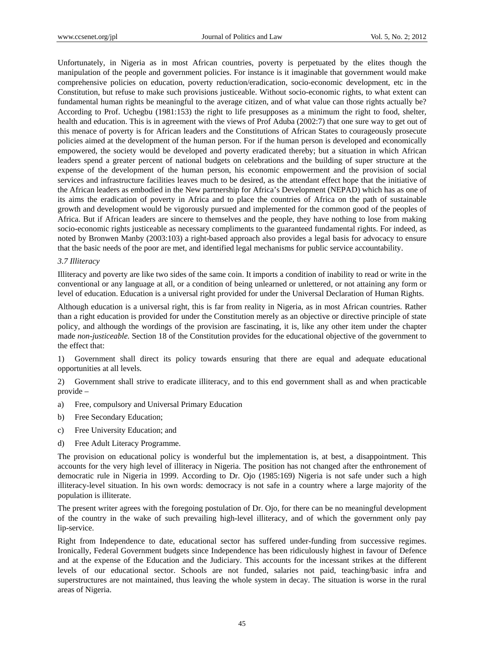Unfortunately, in Nigeria as in most African countries, poverty is perpetuated by the elites though the manipulation of the people and government policies. For instance is it imaginable that government would make comprehensive policies on education, poverty reduction/eradication, socio-economic development, etc in the Constitution, but refuse to make such provisions justiceable. Without socio-economic rights, to what extent can fundamental human rights be meaningful to the average citizen, and of what value can those rights actually be? According to Prof. Uchegbu (1981:153) the right to life presupposes as a minimum the right to food, shelter, health and education. This is in agreement with the views of Prof Aduba (2002:7) that one sure way to get out of this menace of poverty is for African leaders and the Constitutions of African States to courageously prosecute policies aimed at the development of the human person. For if the human person is developed and economically empowered, the society would be developed and poverty eradicated thereby; but a situation in which African leaders spend a greater percent of national budgets on celebrations and the building of super structure at the expense of the development of the human person, his economic empowerment and the provision of social services and infrastructure facilities leaves much to be desired, as the attendant effect hope that the initiative of the African leaders as embodied in the New partnership for Africa's Development (NEPAD) which has as one of its aims the eradication of poverty in Africa and to place the countries of Africa on the path of sustainable growth and development would be vigorously pursued and implemented for the common good of the peoples of Africa. But if African leaders are sincere to themselves and the people, they have nothing to lose from making socio-economic rights justiceable as necessary compliments to the guaranteed fundamental rights. For indeed, as noted by Bronwen Manby (2003:103) a right-based approach also provides a legal basis for advocacy to ensure that the basic needs of the poor are met, and identified legal mechanisms for public service accountability.

#### *3.7 Illiteracy*

Illiteracy and poverty are like two sides of the same coin. It imports a condition of inability to read or write in the conventional or any language at all, or a condition of being unlearned or unlettered, or not attaining any form or level of education. Education is a universal right provided for under the Universal Declaration of Human Rights.

Although education is a universal right, this is far from reality in Nigeria, as in most African countries. Rather than a right education is provided for under the Constitution merely as an objective or directive principle of state policy*,* and although the wordings of the provision are fascinating, it is, like any other item under the chapter made *non-justiceable.* Section 18 of the Constitution provides for the educational objective of the government to the effect that:

1) Government shall direct its policy towards ensuring that there are equal and adequate educational opportunities at all levels.

2) Government shall strive to eradicate illiteracy, and to this end government shall as and when practicable provide –

- a) Free, compulsory and Universal Primary Education
- b) Free Secondary Education;
- c) Free University Education; and
- d) Free Adult Literacy Programme.

The provision on educational policy is wonderful but the implementation is, at best, a disappointment. This accounts for the very high level of illiteracy in Nigeria. The position has not changed after the enthronement of democratic rule in Nigeria in 1999. According to Dr. Ojo (1985:169) Nigeria is not safe under such a high illiteracy-level situation. In his own words: democracy is not safe in a country where a large majority of the population is illiterate.

The present writer agrees with the foregoing postulation of Dr. Ojo, for there can be no meaningful development of the country in the wake of such prevailing high-level illiteracy, and of which the government only pay lip-service.

Right from Independence to date, educational sector has suffered under-funding from successive regimes. Ironically, Federal Government budgets since Independence has been ridiculously highest in favour of Defence and at the expense of the Education and the Judiciary. This accounts for the incessant strikes at the different levels of our educational sector. Schools are not funded, salaries not paid, teaching/basic infra and superstructures are not maintained, thus leaving the whole system in decay. The situation is worse in the rural areas of Nigeria.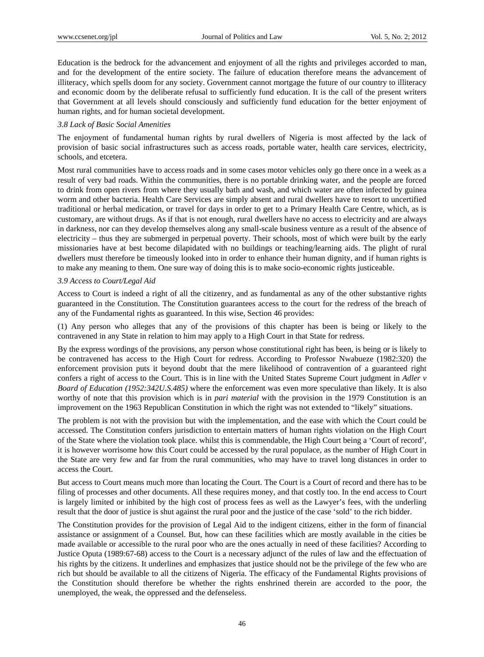Education is the bedrock for the advancement and enjoyment of all the rights and privileges accorded to man, and for the development of the entire society. The failure of education therefore means the advancement of illiteracy, which spells doom for any society. Government cannot mortgage the future of our country to illiteracy and economic doom by the deliberate refusal to sufficiently fund education. It is the call of the present writers that Government at all levels should consciously and sufficiently fund education for the better enjoyment of human rights, and for human societal development.

## *3.8 Lack of Basic Social Amenities*

The enjoyment of fundamental human rights by rural dwellers of Nigeria is most affected by the lack of provision of basic social infrastructures such as access roads, portable water, health care services, electricity, schools, and etcetera.

Most rural communities have to access roads and in some cases motor vehicles only go there once in a week as a result of very bad roads. Within the communities, there is no portable drinking water, and the people are forced to drink from open rivers from where they usually bath and wash, and which water are often infected by guinea worm and other bacteria. Health Care Services are simply absent and rural dwellers have to resort to uncertified traditional or herbal medication, or travel for days in order to get to a Primary Health Care Centre, which, as is customary, are without drugs. As if that is not enough, rural dwellers have no access to electricity and are always in darkness, nor can they develop themselves along any small-scale business venture as a result of the absence of electricity – thus they are submerged in perpetual poverty. Their schools, most of which were built by the early missionaries have at best become dilapidated with no buildings or teaching/learning aids. The plight of rural dwellers must therefore be timeously looked into in order to enhance their human dignity, and if human rights is to make any meaning to them. One sure way of doing this is to make socio-economic rights justiceable.

#### *3.9 Access to Court/Legal Aid*

Access to Court is indeed a right of all the citizenry, and as fundamental as any of the other substantive rights guaranteed in the Constitution. The Constitution guarantees access to the court for the redress of the breach of any of the Fundamental rights as guaranteed. In this wise, Section 46 provides:

(1) Any person who alleges that any of the provisions of this chapter has been is being or likely to the contravened in any State in relation to him may apply to a High Court in that State for redress.

By the express wordings of the provisions, any person whose constitutional right has been, is being or is likely to be contravened has access to the High Court for redress. According to Professor Nwabueze (1982:320) the enforcement provision puts it beyond doubt that the mere likelihood of contravention of a guaranteed right confers a right of access to the Court. This is in line with the United States Supreme Court judgment in *Adler v Board of Education (1952:342U.S.485)* where the enforcement was even more speculative than likely. It is also worthy of note that this provision which is in *pari material* with the provision in the 1979 Constitution is an improvement on the 1963 Republican Constitution in which the right was not extended to "likely" situations.

The problem is not with the provision but with the implementation, and the ease with which the Court could be accessed. The Constitution confers jurisdiction to entertain matters of human rights violation on the High Court of the State where the violation took place. whilst this is commendable, the High Court being a 'Court of record', it is however worrisome how this Court could be accessed by the rural populace, as the number of High Court in the State are very few and far from the rural communities, who may have to travel long distances in order to access the Court.

But access to Court means much more than locating the Court. The Court is a Court of record and there has to be filing of processes and other documents. All these requires money, and that costly too. In the end access to Court is largely limited or inhibited by the high cost of process fees as well as the Lawyer's fees, with the underling result that the door of justice is shut against the rural poor and the justice of the case 'sold' to the rich bidder.

The Constitution provides for the provision of Legal Aid to the indigent citizens, either in the form of financial assistance or assignment of a Counsel. But, how can these facilities which are mostly available in the cities be made available or accessible to the rural poor who are the ones actually in need of these facilities? According to Justice Oputa (1989:67-68) access to the Court is a necessary adjunct of the rules of law and the effectuation of his rights by the citizens. It underlines and emphasizes that justice should not be the privilege of the few who are rich but should be available to all the citizens of Nigeria. The efficacy of the Fundamental Rights provisions of the Constitution should therefore be whether the rights enshrined therein are accorded to the poor, the unemployed, the weak, the oppressed and the defenseless.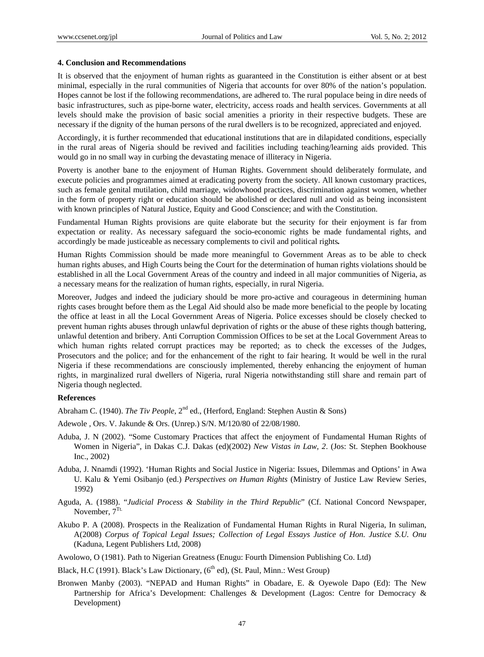#### **4. Conclusion and Recommendations**

It is observed that the enjoyment of human rights as guaranteed in the Constitution is either absent or at best minimal, especially in the rural communities of Nigeria that accounts for over 80% of the nation's population. Hopes cannot be lost if the following recommendations, are adhered to. The rural populace being in dire needs of basic infrastructures, such as pipe-borne water, electricity, access roads and health services. Governments at all levels should make the provision of basic social amenities a priority in their respective budgets. These are necessary if the dignity of the human persons of the rural dwellers is to be recognized, appreciated and enjoyed.

Accordingly, it is further recommended that educational institutions that are in dilapidated conditions, especially in the rural areas of Nigeria should be revived and facilities including teaching/learning aids provided. This would go in no small way in curbing the devastating menace of illiteracy in Nigeria.

Poverty is another bane to the enjoyment of Human Rights. Government should deliberately formulate, and execute policies and programmes aimed at eradicating poverty from the society. All known customary practices, such as female genital mutilation, child marriage, widowhood practices, discrimination against women, whether in the form of property right or education should be abolished or declared null and void as being inconsistent with known principles of Natural Justice, Equity and Good Conscience; and with the Constitution.

Fundamental Human Rights provisions are quite elaborate but the security for their enjoyment is far from expectation or reality. As necessary safeguard the socio-economic rights be made fundamental rights, and accordingly be made justiceable as necessary complements to civil and political rights*.*

Human Rights Commission should be made more meaningful to Government Areas as to be able to check human rights abuses, and High Courts being the Court for the determination of human rights violations should be established in all the Local Government Areas of the country and indeed in all major communities of Nigeria, as a necessary means for the realization of human rights, especially, in rural Nigeria.

Moreover, Judges and indeed the judiciary should be more pro-active and courageous in determining human rights cases brought before them as the Legal Aid should also be made more beneficial to the people by locating the office at least in all the Local Government Areas of Nigeria. Police excesses should be closely checked to prevent human rights abuses through unlawful deprivation of rights or the abuse of these rights though battering, unlawful detention and bribery. Anti Corruption Commission Offices to be set at the Local Government Areas to which human rights related corrupt practices may be reported; as to check the excesses of the Judges, Prosecutors and the police; and for the enhancement of the right to fair hearing. It would be well in the rural Nigeria if these recommendations are consciously implemented, thereby enhancing the enjoyment of human rights, in marginalized rural dwellers of Nigeria, rural Nigeria notwithstanding still share and remain part of Nigeria though neglected.

#### **References**

Abraham C. (1940). *The Tiv People*, 2<sup>nd</sup> ed., (Herford, England: Stephen Austin & Sons)

Adewole , Ors. V. Jakunde & Ors. (Unrep.) S/N. M/120/80 of 22/08/1980.

- Aduba, J. N (2002). "Some Customary Practices that affect the enjoyment of Fundamental Human Rights of Women in Nigeria", in Dakas C.J. Dakas (ed)(2002) *New Vistas in Law, 2*. (Jos: St. Stephen Bookhouse Inc., 2002)
- Aduba, J. Nnamdi (1992). 'Human Rights and Social Justice in Nigeria: Issues, Dilemmas and Options' in Awa U. Kalu & Yemi Osibanjo (ed.) *Perspectives on Human Rights* (Ministry of Justice Law Review Series, 1992)
- Aguda, A. (1988). "*Judicial Process & Stability in the Third Republic*" (Cf. National Concord Newspaper, November,  $7^{Tt}$ .
- Akubo P. A (2008). Prospects in the Realization of Fundamental Human Rights in Rural Nigeria, In suliman, A(2008) *Corpus of Topical Legal Issues; Collection of Legal Essays Justice of Hon. Justice S.U. Onu*  (Kaduna, Legent Publishers Ltd, 2008)
- Awolowo, O (1981). Path to Nigerian Greatness (Enugu: Fourth Dimension Publishing Co. Ltd)
- Black, H.C (1991). Black's Law Dictionary, (6<sup>th</sup> ed), (St. Paul, Minn.: West Group)
- Bronwen Manby (2003). "NEPAD and Human Rights" in Obadare, E. & Oyewole Dapo (Ed): The New Partnership for Africa's Development: Challenges & Development (Lagos: Centre for Democracy & Development)